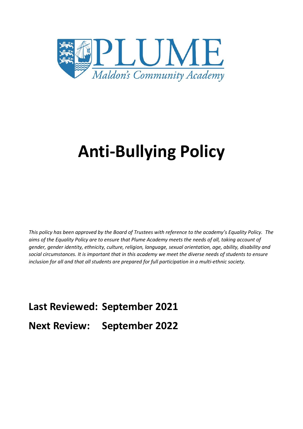

# **Anti-Bullying Policy**

*This policy has been approved by the Board of Trustees with reference to the academy's Equality Policy. The aims of the Equality Policy are to ensure that Plume Academy meets the needs of all, taking account of gender, gender identity, ethnicity, culture, religion, language, sexual orientation, age, ability, disability and social circumstances. It is important that in this academy we meet the diverse needs of students to ensure inclusion for all and that all students are prepared for full participation in a multi-ethnic society.*

**Last Reviewed: September 2021**

**Next Review: September 2022**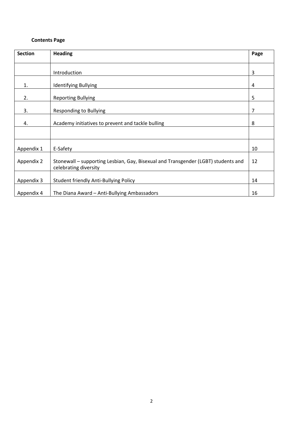# **Contents Page**

| <b>Section</b> | <b>Heading</b>                                                                                             | Page |
|----------------|------------------------------------------------------------------------------------------------------------|------|
|                |                                                                                                            |      |
|                | Introduction                                                                                               | 3    |
| 1.             | <b>Identifying Bullying</b>                                                                                | 4    |
| 2.             | <b>Reporting Bullying</b>                                                                                  | 5    |
| 3.             | <b>Responding to Bullying</b>                                                                              | 7    |
| 4.             | Academy initiatives to prevent and tackle bulling                                                          | 8    |
|                |                                                                                                            |      |
| Appendix 1     | E-Safety                                                                                                   | 10   |
| Appendix 2     | Stonewall - supporting Lesbian, Gay, Bisexual and Transgender (LGBT) students and<br>celebrating diversity | 12   |
| Appendix 3     | <b>Student friendly Anti-Bullying Policy</b>                                                               | 14   |
| Appendix 4     | The Diana Award - Anti-Bullying Ambassadors                                                                | 16   |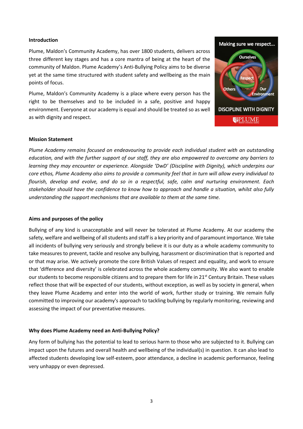#### **Introduction**

Plume, Maldon's Community Academy, has over 1800 students, delivers across three different key stages and has a core mantra of being at the heart of the community of Maldon. Plume Academy's Anti-Bullying Policy aims to be diverse yet at the same time structured with student safety and wellbeing as the main points of focus.

Plume, Maldon's Community Academy is a place where every person has the right to be themselves and to be included in a safe, positive and happy environment. Everyone at our academy is equal and should be treated so as well as with dignity and respect.



#### **Mission Statement**

*Plume Academy remains focused on endeavouring to provide each individual student with an outstanding education, and with the further support of our staff, they are also empowered to overcome any barriers to learning they may encounter or experience. Alongside 'DwD' (Discipline with Dignity), which underpins our core ethos, Plume Academy also aims to provide a community feel that in turn will allow every individual to flourish, develop and evolve, and do so in a respectful, safe, calm and nurturing environment. Each stakeholder should have the confidence to know how to approach and handle a situation, whilst also fully understanding the support mechanisms that are available to them at the same time.*

#### **Aims and purposes of the policy**

Bullying of any kind is unacceptable and will never be tolerated at Plume Academy. At our academy the safety, welfare and wellbeing of all students and staff is a key priority and of paramount importance. We take all incidents of bullying very seriously and strongly believe it is our duty as a whole academy community to take measures to prevent, tackle and resolve any bullying, harassment or discrimination that is reported and or that may arise. We actively promote the core British Values of respect and equality, and work to ensure that 'difference and diversity' is celebrated across the whole academy community. We also want to enable our students to become responsible citizens and to prepare them for life in 21<sup>st</sup> Century Britain. These values reflect those that will be expected of our students, without exception, as well as by society in general, when they leave Plume Academy and enter into the world of work, further study or training. We remain fully committed to improving our academy's approach to tackling bullying by regularly monitoring, reviewing and assessing the impact of our preventative measures.

#### **Why does Plume Academy need an Anti-Bullying Policy?**

Any form of bullying has the potential to lead to serious harm to those who are subjected to it. Bullying can impact upon the futures and overall health and wellbeing of the individual(s) in question. It can also lead to affected students developing low self-esteem, poor attendance, a decline in academic performance, feeling very unhappy or even depressed.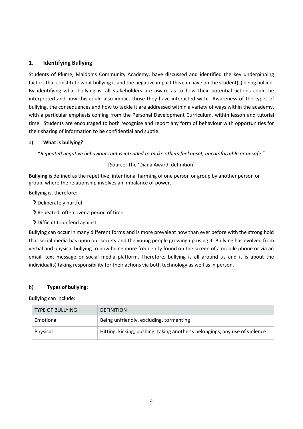## **1. Identifying Bullying**

Students of Plume, Maldon's Community Academy, have discussed and identified the key underpinning factors that constitute what bullying is and the negative impact this can have on the student(s) being bullied. By identifying what bullying is, all stakeholders are aware as to how their potential actions could be interpreted and how this could also impact those they have interacted with. Awareness of the types of bullying, the consequences and how to tackle it are addressed within a variety of ways within the academy, with a particular emphasis coming from the Personal Development Curriculum, within lesson and tutorial time. Students are encouraged to both recognise and report any form of behaviour with opportunities for their sharing of information to be confidential and subtle.

## a) **What is bullying?**

"*Repeated negative behaviour that is intended to make others feel upset, uncomfortable or unsafe*."

## [Source: The 'Diana Award' definition]

**Bullying** is defined as the repetitive, intentional harming of one person or group by another person or group, where the relationship involves an imbalance of power.

Bullying is, therefore:

- Deliberately hurtful
- Repeated, often over a period of time
- Difficult to defend against

Bullying can occur in many different forms and is more prevalent now than ever before with the strong hold that social media has upon our society and the young people growing up using it. Bullying has evolved from verbal and physical bullying to now being more frequently found on the screen of a mobile phone or via an email, text message or social media platform. Therefore, bullying is all around us and it is about the individual(s) taking responsibility for their actions via both technology as well as in person.

#### b) **Types of bullying:**

Bullying can include:

| <b>TYPE OF BULLYING</b> | <b>DEFINITION</b>                                                           |
|-------------------------|-----------------------------------------------------------------------------|
| Emotional               | Being unfriendly, excluding, tormenting                                     |
| Physical                | Hitting, kicking, pushing, taking another's belongings, any use of violence |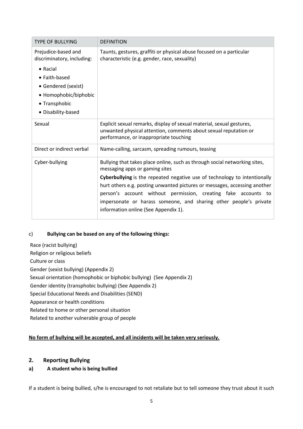| <b>TYPE OF BULLYING</b>                                                                                                                                                       | <b>DEFINITION</b>                                                                                                                                                                                                                                                                                                                                                                                                                                     |  |  |  |
|-------------------------------------------------------------------------------------------------------------------------------------------------------------------------------|-------------------------------------------------------------------------------------------------------------------------------------------------------------------------------------------------------------------------------------------------------------------------------------------------------------------------------------------------------------------------------------------------------------------------------------------------------|--|--|--|
| Prejudice-based and<br>discriminatory, including:<br>$\bullet$ Racial<br>• Faith-based<br>• Gendered (sexist)<br>• Homophobic/biphobic<br>• Transphobic<br>• Disability-based | Taunts, gestures, graffiti or physical abuse focused on a particular<br>characteristic (e.g. gender, race, sexuality)                                                                                                                                                                                                                                                                                                                                 |  |  |  |
| Sexual                                                                                                                                                                        | Explicit sexual remarks, display of sexual material, sexual gestures,<br>unwanted physical attention, comments about sexual reputation or<br>performance, or inappropriate touching                                                                                                                                                                                                                                                                   |  |  |  |
| Direct or indirect verbal                                                                                                                                                     | Name-calling, sarcasm, spreading rumours, teasing                                                                                                                                                                                                                                                                                                                                                                                                     |  |  |  |
| Cyber-bullying                                                                                                                                                                | Bullying that takes place online, such as through social networking sites,<br>messaging apps or gaming sites<br>Cyberbullying is the repeated negative use of technology to intentionally<br>hurt others e.g. posting unwanted pictures or messages, accessing another<br>person's account without permission, creating fake accounts to<br>impersonate or harass someone, and sharing other people's private<br>information online (See Appendix 1). |  |  |  |

## c) **Bullying can be based on any of the following things:**

Race (racist bullying) Religion or religious beliefs Culture or class Gender (sexist bullying) (Appendix 2) Sexual orientation (homophobic or biphobic bullying) (See Appendix 2) Gender identity (transphobic bullying) (See Appendix 2) Special Educational Needs and Disabilities (SEND) Appearance or health conditions Related to home or other personal situation Related to another vulnerable group of people

## **No form of bullying will be accepted, and all incidents will be taken very seriously.**

# **2. Reporting Bullying**

# **a) A student who is being bullied**

If a student is being bullied, s/he is encouraged to not retaliate but to tell someone they trust about it such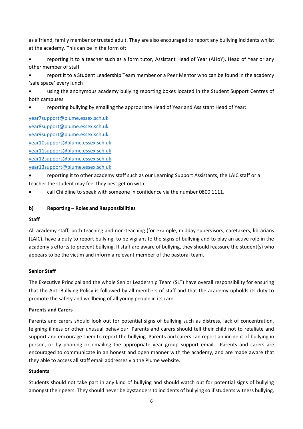as a friend, family member or trusted adult. They are also encouraged to report any bullying incidents whilst at the academy. This can be in the form of:

 reporting it to a teacher such as a form tutor, Assistant Head of Year (AHoY), Head of Year or any other member of staff

 report it to a Student Leadership Team member or a Peer Mentor who can be found in the academy 'safe space' every lunch

 using the anonymous academy bullying reporting boxes located in the Student Support Centres of both campuses

reporting bullying by emailing the appropriate Head of Year and Assistant Head of Year:

[year7support@plume.essex.sch.uk](mailto:year7support@plume.essex.sch.uk) [year8support@plume.essex.sch.uk](mailto:year8support@plume.essex.sch.uk) [year9support@plume.essex.sch.uk](mailto:year9support@plume.essex.sch.uk) [year10support@plume.essex.sch.uk](mailto:year10support@plume.essex.sch.uk) [year11support@plume.essex.sch.uk](mailto:year11support@plume.essex.sch.uk) [year12support@plume.essex.sch.uk](mailto:year12support@plume.essex.sch.uk) [year13support@plume.essex.sch.uk](mailto:year13support@plume.essex.sch.uk)

- reporting it to other academy staff such as our Learning Support Assistants, the LAIC staff or a teacher the student may feel they best get on with
- call Childline to speak with someone in confidence via the number 0800 1111.

## **b) Reporting – Roles and Responsibilities**

## **Staff**

All academy staff, both teaching and non-teaching (for example, midday supervisors, caretakers, librarians (LAIC), have a duty to report bullying, to be vigilant to the signs of bullying and to play an active role in the academy's efforts to prevent bullying. If staff are aware of bullying, they should reassure the student(s) who appears to be the victim and inform a relevant member of the pastoral team.

## **Senior Staff**

**T**he Executive Principal and the whole Senior Leadership Team (SLT) have overall responsibility for ensuring that the Anti-Bullying Policy is followed by all members of staff and that the academy upholds its duty to promote the safety and wellbeing of all young people in its care.

## **Parents and Carers**

Parents and carers should look out for potential signs of bullying such as distress, lack of concentration, feigning illness or other unusual behaviour. Parents and carers should tell their child not to retaliate and support and encourage them to report the bullying. Parents and carers can report an incident of bullying in person, or by phoning or emailing the appropriate year group support email. Parents and carers are encouraged to communicate in an honest and open manner with the academy, and are made aware that they able to access all staff email addresses via the Plume website.

## **Students**

Students should not take part in any kind of bullying and should watch out for potential signs of bullying amongst their peers. They should never be bystanders to incidents of bullying so if students witness bullying,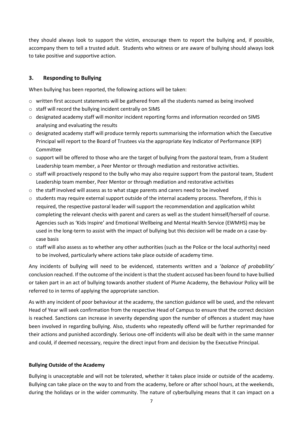they should always look to support the victim, encourage them to report the bullying and, if possible, accompany them to tell a trusted adult. Students who witness or are aware of bullying should always look to take positive and supportive action.

## **3. Responding to Bullying**

When bullying has been reported, the following actions will be taken:

- $\circ$  written first account statements will be gathered from all the students named as being involved
- o staff will record the bullying incident centrally on SIMS
- $\circ$  designated academy staff will monitor incident reporting forms and information recorded on SIMS analysing and evaluating the results
- $\circ$  designated academy staff will produce termly reports summarising the information which the Executive Principal will report to the Board of Trustees via the appropriate Key Indicator of Performance (KIP) Committee
- $\circ$  support will be offered to those who are the target of bullying from the pastoral team, from a Student Leadership team member, a Peer Mentor or through mediation and restorative activities.
- $\circ$  staff will proactively respond to the bully who may also require support from the pastoral team, Student Leadership team member, Peer Mentor or through mediation and restorative activities
- $\circ$  the staff involved will assess as to what stage parents and carers need to be involved
- $\circ$  students may require external support outside of the internal academy process. Therefore, if this is required, the respective pastoral leader will support the recommendation and application whilst completing the relevant checks with parent and carers as well as the student himself/herself of course. Agencies such as 'Kids Inspire' and Emotional Wellbeing and Mental Health Service (EWMHS) may be used in the long-term to assist with the impact of bullying but this decision will be made on a case-bycase basis
- $\circ$  staff will also assess as to whether any other authorities (such as the Police or the local authority) need to be involved, particularly where actions take place outside of academy time.

Any incidents of bullying will need to be evidenced, statements written and a '*balance of probability'* conclusion reached. If the outcome of the incident is that the student accused has been found to have bullied or taken part in an act of bullying towards another student of Plume Academy, the Behaviour Policy will be referred to in terms of applying the appropriate sanction.

As with any incident of poor behaviour at the academy, the sanction guidance will be used, and the relevant Head of Year will seek confirmation from the respective Head of Campus to ensure that the correct decision is reached. Sanctions can increase in severity depending upon the number of offences a student may have been involved in regarding bullying. Also, students who repeatedly offend will be further reprimanded for their actions and punished accordingly. Serious one-off incidents will also be dealt with in the same manner and could, if deemed necessary, require the direct input from and decision by the Executive Principal.

## **Bullying Outside of the Academy**

Bullying is unacceptable and will not be tolerated, whether it takes place inside or outside of the academy. Bullying can take place on the way to and from the academy, before or after school hours, at the weekends, during the holidays or in the wider community. The nature of cyberbullying means that it can impact on a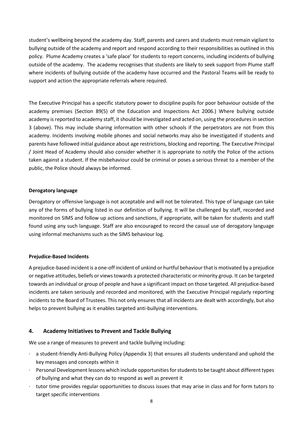student's wellbeing beyond the academy day. Staff, parents and carers and students must remain vigilant to bullying outside of the academy and report and respond according to their responsibilities as outlined in this policy. Plume Academy creates a 'safe place' for students to report concerns, including incidents of bullying outside of the academy. The academy recognises that students are likely to seek support from Plume staff where incidents of bullying outside of the academy have occurred and the Pastoral Teams will be ready to support and action the appropriate referrals where required.

The Executive Principal has a specific statutory power to discipline pupils for poor behaviour outside of the academy premises (Section 89(5) of the Education and Inspections Act 2006.) Where bullying outside academy is reported to academy staff, it should be investigated and acted on, using the procedures in section 3 (above). This may include sharing information with other schools if the perpetrators are not from this academy. Incidents involving mobile phones and social networks may also be investigated if students and parents have followed initial guidance about age restrictions, blocking and reporting. The Executive Principal / Joint Head of Academy should also consider whether it is appropriate to notify the Police of the actions taken against a student. If the misbehaviour could be criminal or poses a serious threat to a member of the public, the Police should always be informed.

## **Derogatory language**

Derogatory or offensive language is not acceptable and will not be tolerated. This type of language can take any of the forms of bullying listed in our definition of bullying. It will be challenged by staff, recorded and monitored on SIMS and follow up actions and sanctions, if appropriate, will be taken for students and staff found using any such language. Staff are also encouraged to record the casual use of derogatory language using informal mechanisms such as the SIMS behaviour log.

## **Prejudice-Based Incidents**

A prejudice-based incident is a one-off incident of unkind or hurtful behaviour that is motivated by a prejudice or negative attitudes, beliefs or views towards a protected characteristic or minority group. It can be targeted towards an individual or group of people and have a significant impact on those targeted. All prejudice-based incidents are taken seriously and recorded and monitored, with the Executive Principal regularly reporting incidents to the Board of Trustees. This not only ensures that all incidents are dealt with accordingly, but also helps to prevent bullying as it enables targeted anti-bullying interventions.

## **4. Academy Initiatives to Prevent and Tackle Bullying**

We use a range of measures to prevent and tackle bullying including:

- a student-friendly Anti-Bullying Policy (Appendix 3) that ensures all students understand and uphold the key messages and concepts within it
- Personal Development lessons which include opportunities for students to be taught about different types of bullying and what they can do to respond as well as prevent it
- tutor time provides regular opportunities to discuss issues that may arise in class and for form tutors to target specific interventions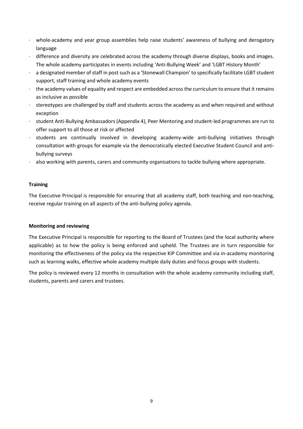- · whole-academy and year group assemblies help raise students' awareness of bullying and derogatory language
- · difference and diversity are celebrated across the academy through diverse displays, books and images. The whole academy participates in events including 'Anti-Bullying Week' and 'LGBT History Month'
- a designated member of staff in post such as a 'Stonewall Champion' to specifically facilitate LGBT student support, staff training and whole academy events
- · the academy values of equality and respect are embedded across the curriculum to ensure that it remains as inclusive as possible
- · stereotypes are challenged by staff and students across the academy as and when required and without exception
- · student Anti-Bullying Ambassadors (Appendix 4), Peer Mentoring and student-led programmes are run to offer support to all those at risk or affected
- · students are continually involved in developing academy-wide anti-bullying initiatives through consultation with groups for example via the democratically elected Executive Student Council and antibullying surveys
- also working with parents, carers and community organisations to tackle bullying where appropriate.

## **Training**

The Executive Principal is responsible for ensuring that all academy staff, both teaching and non-teaching, receive regular training on all aspects of the anti-bullying policy agenda.

#### **Monitoring and reviewing**

The Executive Principal is responsible for reporting to the Board of Trustees (and the local authority where applicable) as to how the policy is being enforced and upheld. The Trustees are in turn responsible for monitoring the effectiveness of the policy via the respective KIP Committee and via in-academy monitoring such as learning walks, effective whole academy multiple daily duties and focus groups with students.

The policy is reviewed every 12 months in consultation with the whole academy community including staff, students, parents and carers and trustees.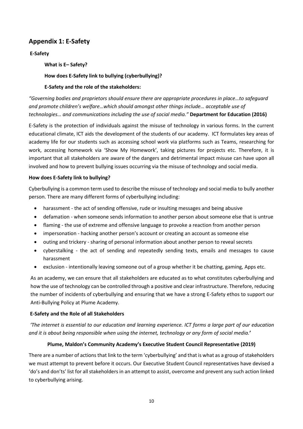# **Appendix 1: E-Safety**

# **E-Safety**

# **What is E– Safety?**

# **How does E-Safety link to bullying (cyberbullying)?**

# **E-Safety and the role of the stakeholders:**

*"Governing bodies and proprietors should ensure there are appropriate procedures in place…to safeguard and promote children's welfare…which should amongst other things include… acceptable use of technologies… and communications including the use of social media."* **Department for Education (2016)**

E-Safety is the protection of individuals against the misuse of technology in various forms. In the current educational climate, ICT aids the development of the students of our academy. ICT formulates key areas of academy life for our students such as accessing school work via platforms such as Teams, researching for work, accessing homework via 'Show My Homework', taking pictures for projects etc. Therefore, it is important that all stakeholders are aware of the dangers and detrimental impact misuse can have upon all involved and how to prevent bullying issues occurring via the misuse of technology and social media.

## **How does E-Safety link to bullying?**

Cyberbullying is a common term used to describe the misuse of technology and social media to bully another person. There are many different forms of cyberbullying including:

- harassment the act of sending offensive, rude or insulting messages and being abusive
- defamation when someone sends information to another person about someone else that is untrue
- flaming the use of extreme and offensive language to provoke a reaction from another person
- impersonation hacking another person's account or creating an account as someone else
- outing and trickery sharing of personal information about another person to reveal secrets
- cyberstalking the act of sending and repeatedly sending texts, emails and messages to cause harassment
- exclusion intentionally leaving someone out of a group whether it be chatting, gaming, Apps etc.

As an academy, we can ensure that all stakeholders are educated as to what constitutes cyberbullying and how the use of technology can be controlled through a positive and clear infrastructure. Therefore, reducing the number of incidents of cyberbullying and ensuring that we have a strong E-Safety ethos to support our Anti-Bullying Policy at Plume Academy.

## **E-Safety and the Role of all Stakeholders**

*'The internet is essential to our education and learning experience. ICT forms a large part of our education and it is about being responsible when using the internet, technology or any form of social media.***'**

## **Plume, Maldon's Community Academy's Executive Student Council Representative (2019)**

There are a number of actions that link to the term 'cyberbullying' and that is what as a group of stakeholders we must attempt to prevent before it occurs. Our Executive Student Council representatives have devised a 'do's and don'ts' list for all stakeholders in an attempt to assist, overcome and prevent any such action linked to cyberbullying arising.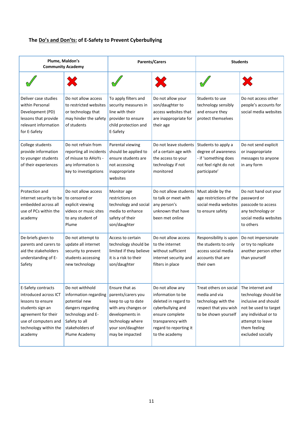# **The Do's and Don'ts: of E-Safety to Prevent Cyberbullying**

| Plume, Maldon's<br><b>Community Academy</b>                                                                                                                             |                                                                                                                                                          | <b>Parents/Carers</b>                                                                                                                                            |                                                                                                                                                                        | <b>Students</b>                                                                                                 |                                                                                                                                                                            |
|-------------------------------------------------------------------------------------------------------------------------------------------------------------------------|----------------------------------------------------------------------------------------------------------------------------------------------------------|------------------------------------------------------------------------------------------------------------------------------------------------------------------|------------------------------------------------------------------------------------------------------------------------------------------------------------------------|-----------------------------------------------------------------------------------------------------------------|----------------------------------------------------------------------------------------------------------------------------------------------------------------------------|
|                                                                                                                                                                         |                                                                                                                                                          |                                                                                                                                                                  |                                                                                                                                                                        |                                                                                                                 |                                                                                                                                                                            |
| Deliver case studies<br>within Personal<br>Development (PD)<br>lessons that provide<br>relevant information<br>for E-Safety                                             | Do not allow access<br>to restricted websites<br>or technology that<br>may hinder the safety<br>of students                                              | To apply filters and<br>security measures in<br>line with their<br>provider to ensure<br>child protection and<br>E-Safety                                        | Do not allow your<br>son/daughter to<br>access websites that<br>are inappropriate for<br>their age                                                                     | Students to use<br>technology sensibly<br>and ensure they<br>protect themselves                                 | Do not access other<br>people's accounts for<br>social media websites                                                                                                      |
| College students<br>provide information<br>to younger students<br>of their experiences                                                                                  | Do not refrain from<br>reporting all incidents<br>of misuse to AHoYs -<br>any information is<br>key to investigations                                    | Parental viewing<br>should be applied to<br>ensure students are<br>not accessing<br>inappropriate<br>websites                                                    | Do not leave students<br>of a certain age with<br>the access to your<br>technology if not<br>monitored                                                                 | Students to apply a<br>degree of awareness<br>- if 'something does<br>not feel right do not<br>participate'     | Do not send explicit<br>or inappropriate<br>messages to anyone<br>in any form                                                                                              |
| Protection and<br>internet security to be to censored or<br>embedded across all<br>use of PCs within the<br>academy                                                     | Do not allow access<br>explicit viewing<br>videos or music sites<br>to any student of<br>Plume                                                           | Monitor age<br>restrictions on<br>technology and social<br>media to enhance<br>safety of their<br>son/daughter                                                   | Do not allow students<br>to talk or meet with<br>any person's<br>unknown that have<br>been met online                                                                  | Must abide by the<br>age restrictions of the<br>social media websites<br>to ensure safety                       | Do not hand out your<br>password or<br>passcode to access<br>any technology or<br>social media websites<br>to others                                                       |
| De-briefs given to<br>parents and carers to<br>aid the stakeholders<br>understanding of E-<br>Safety                                                                    | Do not attempt to<br>update all internet<br>security to prevent<br>students accessing<br>new technology                                                  | Access to certain<br>technology should be<br>limited if they believe<br>it is a risk to their<br>son/daughter                                                    | Do not allow access<br>to the internet<br>without sufficient<br>internet security and<br>filters in place                                                              | Responsibility is upon<br>the students to only<br>access social media<br>accounts that are<br>their own         | Do not impersonate<br>or try to replicate<br>another person other<br>than yourself                                                                                         |
| E-Safety contracts<br>introduced across ICT<br>lessons to ensure<br>students sign an<br>agreement for their<br>use of computers and<br>technology within the<br>academy | Do not withhold<br>information regarding<br>potential new<br>dangers regarding<br>technology and E-<br>Safety to all<br>stakeholders of<br>Plume Academy | Ensure that as<br>parents/carers you<br>keep to up to date<br>with any changes or<br>developments in<br>technology where<br>your son/daughter<br>may be impacted | Do not allow any<br>information to be<br>deleted in regard to<br>cyberbullying and<br>ensure complete<br>transparency with<br>regard to reporting it<br>to the academy | Treat others on social<br>media and via<br>technology with the<br>respect that you wish<br>to be shown yourself | The internet and<br>technology should be<br>inclusive and should<br>not be used to target<br>any individual or to<br>attempt to leave<br>them feeling<br>excluded socially |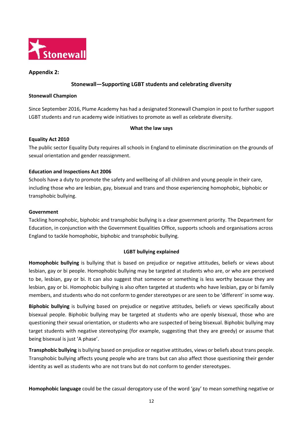

## **Appendix 2:**

## **Stonewall—Supporting LGBT students and celebrating diversity**

#### **Stonewall Champion**

Since September 2016, Plume Academy has had a designated Stonewall Champion in post to further support LGBT students and run academy wide initiatives to promote as well as celebrate diversity.

## **What the law says**

## **Equality Act 2010**

The public sector Equality Duty requires all schools in England to eliminate discrimination on the grounds of sexual orientation and gender reassignment.

## **Education and Inspections Act 2006**

Schools have a duty to promote the safety and wellbeing of all children and young people in their care, including those who are lesbian, gay, bisexual and trans and those experiencing homophobic, biphobic or transphobic bullying.

#### **Government**

Tackling homophobic, biphobic and transphobic bullying is a clear government priority. The Department for Education, in conjunction with the Government Equalities Office, supports schools and organisations across England to tackle homophobic, biphobic and transphobic bullying.

## **LGBT bullying explained**

**Homophobic bullying** is bullying that is based on prejudice or negative attitudes, beliefs or views about lesbian, gay or bi people. Homophobic bullying may be targeted at students who are, or who are perceived to be, lesbian, gay or bi. It can also suggest that someone or something is less worthy because they are lesbian, gay or bi. Homophobic bullying is also often targeted at students who have lesbian, gay or bi family members, and students who do not conform to gender stereotypes or are seen to be 'different' in some way.

**Biphobic bullying** is bullying based on prejudice or negative attitudes, beliefs or views specifically about bisexual people. Biphobic bullying may be targeted at students who are openly bisexual, those who are questioning their sexual orientation, or students who are suspected of being bisexual. Biphobic bullying may target students with negative stereotyping (for example, suggesting that they are greedy) or assume that being bisexual is just 'A phase'.

**Transphobic bullying** is bullying based on prejudice or negative attitudes, views or beliefs about trans people. Transphobic bullying affects young people who are trans but can also affect those questioning their gender identity as well as students who are not trans but do not conform to gender stereotypes.

**Homophobic language** could be the casual derogatory use of the word 'gay' to mean something negative or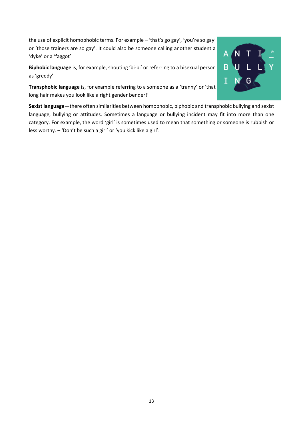the use of explicit homophobic terms. For example – 'that's go gay', 'you're so gay' or 'those trainers are so gay'. It could also be someone calling another student a 'dyke' or a 'faggot'

**Biphobic language** is, for example, shouting 'bi-bi' or referring to a bisexual person as 'greedy'

**Transphobic language** is, for example referring to a someone as a 'tranny' or 'that long hair makes you look like a right gender bender!'

**Sexist language—**there often similarities between homophobic, biphobic and transphobic bullying and sexist language, bullying or attitudes. Sometimes a language or bullying incident may fit into more than one category. For example, the word 'girl' is sometimes used to mean that something or someone is rubbish or less worthy. – 'Don't be such a girl' or 'you kick like a girl'.

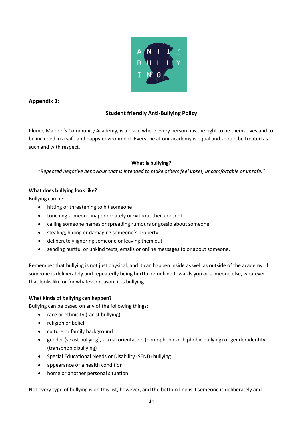

# **Appendix 3:**

# **Student friendly Anti-Bullying Policy**

Plume, Maldon's Community Academy, is a place where every person has the right to be themselves and to be included in a safe and happy environment. Everyone at our academy is equal and should be treated as such and with respect.

# **What is bullying?**

"*Repeated negative behaviour that is intended to make others feel upset, uncomfortable or unsafe."* 

# **What does bullying look like?**

Bullying can be:

- hitting or threatening to hit someone
- touching someone inappropriately or without their consent
- calling someone names or spreading rumours or gossip about someone
- stealing, hiding or damaging someone's property
- deliberately ignoring someone or leaving them out
- sending hurtful or unkind texts, emails or online messages to or about someone.

Remember that bullying is not just physical, and it can happen inside as well as outside of the academy. If someone is deliberately and repeatedly being hurtful or unkind towards you or someone else, whatever that looks like or for whatever reason, it is bullying!

## **What kinds of bullying can happen?**

Bullying can be based on any of the following things:

- race or ethnicity (racist bullying)
- religion or belief
- culture or family background
- gender (sexist bullying), sexual orientation (homophobic or biphobic bullying) or gender identity (transphobic bullying)
- Special Educational Needs or Disability (SEND) bullying
- appearance or a health condition
- home or another personal situation.

Not every type of bullying is on this list, however, and the bottom line is if someone is deliberately and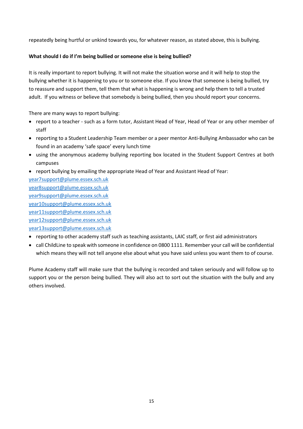repeatedly being hurtful or unkind towards you, for whatever reason, as stated above, this is bullying.

## **What should I do if I'm being bullied or someone else is being bullied?**

It is really important to report bullying. It will not make the situation worse and it will help to stop the bullying whether it is happening to you or to someone else. If you know that someone is being bullied, try to reassure and support them, tell them that what is happening is wrong and help them to tell a trusted adult. If you witness or believe that somebody is being bullied, then you should report your concerns.

There are many ways to report bullying:

- report to a teacher such as a form tutor, Assistant Head of Year, Head of Year or any other member of staff
- reporting to a Student Leadership Team member or a peer mentor Anti-Bullying Ambassador who can be found in an academy 'safe space' every lunch time
- using the anonymous academy bullying reporting box located in the Student Support Centres at both campuses
- report bullying by emailing the appropriate Head of Year and Assistant Head of Year:

[year7support@plume.essex.sch.uk](mailto:year7support@plume.essex.sch.uk) [year8support@plume.essex.sch.uk](mailto:year8support@plume.essex.sch.uk) [year9support@plume.essex.sch.uk](mailto:year9support@plume.essex.sch.uk) [year10support@plume.essex.sch.uk](mailto:year10support@plume.essex.sch.uk) [year11support@plume.essex.sch.uk](mailto:year11support@plume.essex.sch.uk) [year12support@plume.essex.sch.uk](mailto:year12support@plume.essex.sch.uk) [year13support@plume.essex.sch.uk](mailto:year13support@plume.essex.sch.uk)

- reporting to other academy staff such as teaching assistants, LAIC staff, or first aid administrators
- call ChildLine to speak with someone in confidence on 0800 1111. Remember your call will be confidential which means they will not tell anyone else about what you have said unless you want them to of course.

Plume Academy staff will make sure that the bullying is recorded and taken seriously and will follow up to support you or the person being bullied. They will also act to sort out the situation with the bully and any others involved.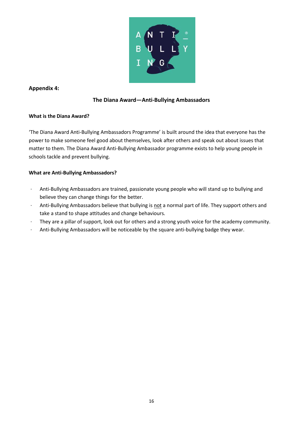

# **Appendix 4:**

# **The Diana Award—Anti-Bullying Ambassadors**

## **What is the Diana Award?**

'The Diana Award Anti-Bullying Ambassadors Programme' is built around the idea that everyone has the power to make someone feel good about themselves, look after others and speak out about issues that matter to them. The Diana Award Anti-Bullying Ambassador programme exists to help young people in schools tackle and prevent bullying.

# **What are Anti-Bullying Ambassadors?**

- · Anti-Bullying Ambassadors are trained, passionate young people who will stand up to bullying and believe they can change things for the better.
- · Anti-Bullying Ambassadors believe that bullying is not a normal part of life. They support others and take a stand to shape attitudes and change behaviours.
- · They are a pillar of support, look out for others and a strong youth voice for the academy community.
- · Anti-Bullying Ambassadors will be noticeable by the square anti-bullying badge they wear.